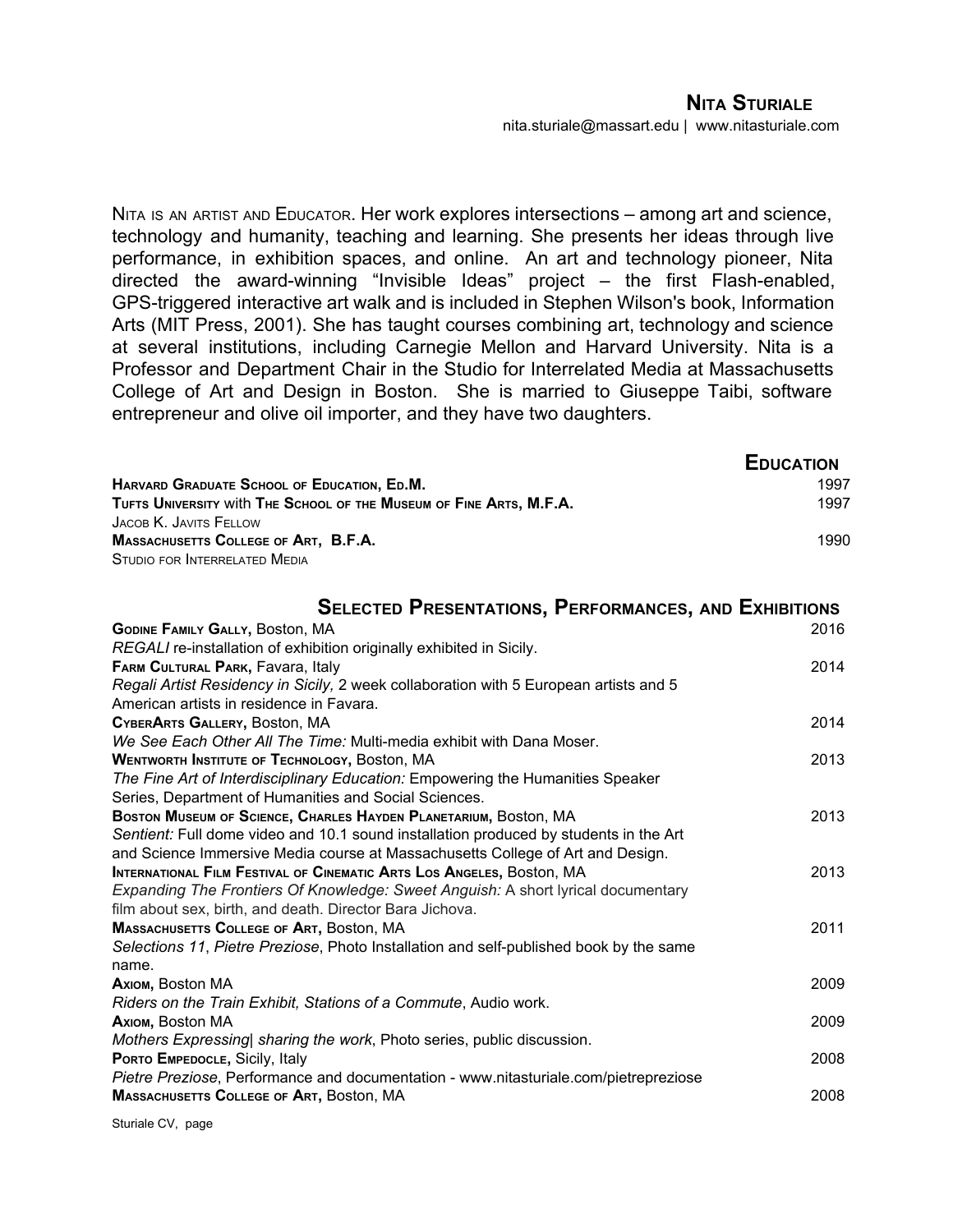**NITA STURIALE** nita.sturiale@massart.edu | www.nitasturiale.com

**EDUCATION**

NITA IS AN ARTIST AND EDUCATOR. Her work explores intersections – among art and science, technology and humanity, teaching and learning. She presents her ideas through live performance, in exhibition spaces, and online. An art and technology pioneer, Nita directed the award-winning "Invisible Ideas" project – the first Flash-enabled, GPS-triggered interactive art walk and is included in Stephen Wilson's book, Information Arts (MIT Press, 2001). She has taught courses combining art, technology and science at several institutions, including Carnegie Mellon and Harvard University. Nita is a Professor and Department Chair in the Studio for Interrelated Media at Massachusetts College of Art and Design in Boston. She is married to Giuseppe Taibi, software entrepreneur and olive oil importer, and they have two daughters.

|                                                                     | EDUCATION |
|---------------------------------------------------------------------|-----------|
| HARVARD GRADUATE SCHOOL OF EDUCATION, ED.M.                         | 1997      |
| TUFTS UNIVERSITY WITH THE SCHOOL OF THE MUSEUM OF FINE ARTS. M.F.A. | 1997      |
| JACOB K. JAVITS FELLOW                                              |           |
| MASSACHUSETTS COLLEGE OF ART. B.F.A.                                | 1990      |
| <b>STUDIO FOR INTERRELATED MEDIA</b>                                |           |

| <b>SELECTED PRESENTATIONS, PERFORMANCES, AND EXHIBITIONS</b>                           |      |
|----------------------------------------------------------------------------------------|------|
| <b>GODINE FAMILY GALLY, BOSTON, MA</b>                                                 | 2016 |
| REGALI re-installation of exhibition originally exhibited in Sicily.                   |      |
| FARM CULTURAL PARK, Favara, Italy                                                      | 2014 |
| Regali Artist Residency in Sicily, 2 week collaboration with 5 European artists and 5  |      |
| American artists in residence in Favara.                                               |      |
| CYBERARTS GALLERY, BOStON, MA                                                          | 2014 |
| We See Each Other All The Time: Multi-media exhibit with Dana Moser.                   |      |
| <b>WENTWORTH INSTITUTE OF TECHNOLOGY, BOStON, MA</b>                                   | 2013 |
| The Fine Art of Interdisciplinary Education: Empowering the Humanities Speaker         |      |
| Series, Department of Humanities and Social Sciences.                                  |      |
| BOSTON MUSEUM OF SCIENCE, CHARLES HAYDEN PLANETARIUM, BOSTON, MA                       | 2013 |
| Sentient: Full dome video and 10.1 sound installation produced by students in the Art  |      |
| and Science Immersive Media course at Massachusetts College of Art and Design.         |      |
| INTERNATIONAL FILM FESTIVAL OF CINEMATIC ARTS LOS ANGELES, BOSTON, MA                  | 2013 |
| Expanding The Frontiers Of Knowledge: Sweet Anguish: A short lyrical documentary       |      |
| film about sex, birth, and death. Director Bara Jichova.                               |      |
| <b>MASSACHUSETTS COLLEGE OF ART, BOSTON, MA</b>                                        | 2011 |
| Selections 11, Pietre Preziose, Photo Installation and self-published book by the same |      |
| name.                                                                                  |      |
| Axiom, Boston MA                                                                       | 2009 |
| Riders on the Train Exhibit, Stations of a Commute, Audio work.                        |      |
| Axiom, Boston MA                                                                       | 2009 |
| Mothers Expressing sharing the work, Photo series, public discussion.                  |      |
| PORTO EMPEDOCLE, Sicily, Italy                                                         | 2008 |
| Pietre Preziose, Performance and documentation - www.nitasturiale.com/pietrepreziose   |      |
| MASSACHUSETTS COLLEGE OF ART, BOStON, MA                                               | 2008 |
|                                                                                        |      |

Sturiale CV, page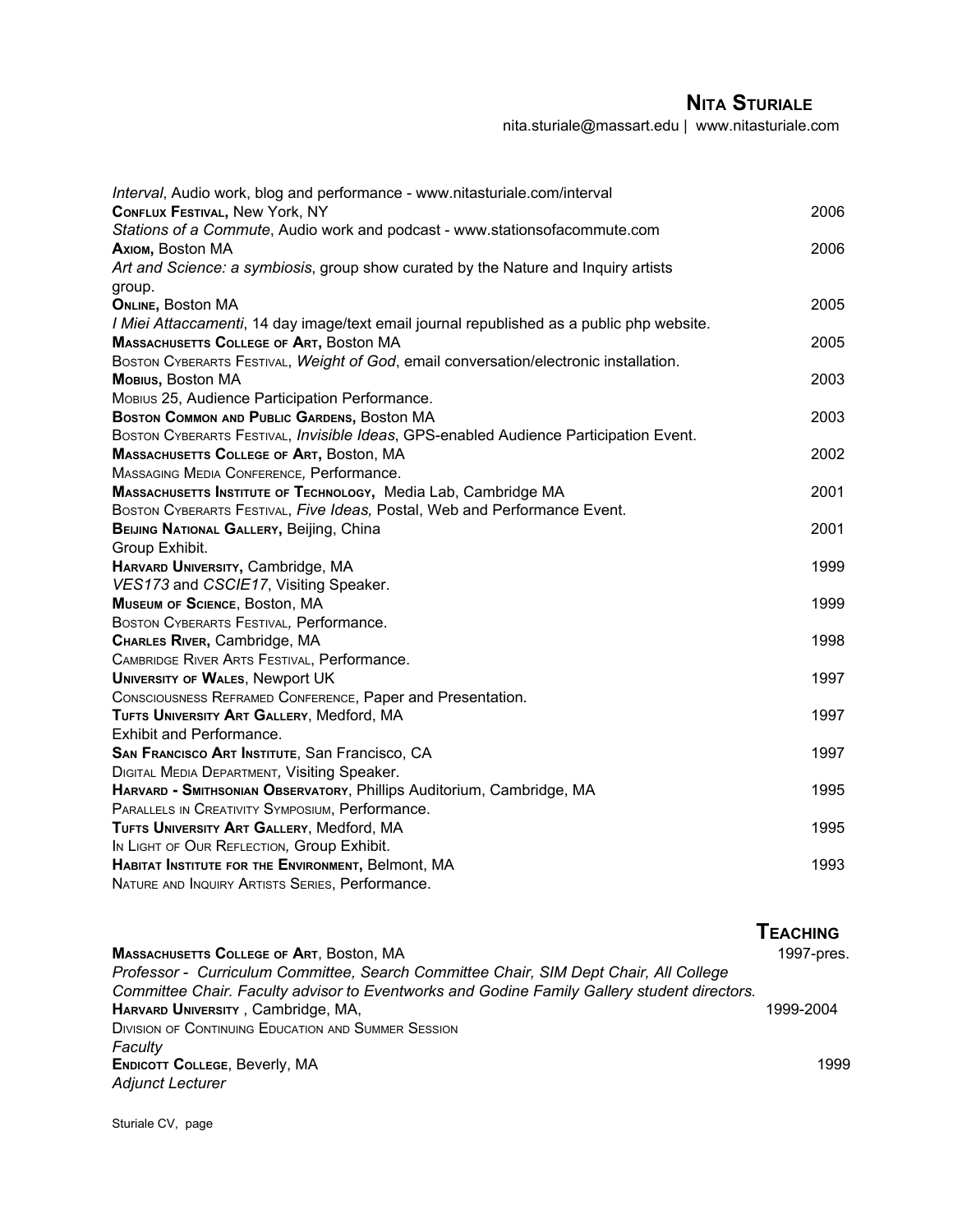nita.sturiale@massart.edu | www.nitasturiale.com

| <b>CONFLUX FESTIVAL, New York, NY</b><br>2006<br>Stations of a Commute, Audio work and podcast - www.stationsofacommute.com<br>Axiom, Boston MA<br>2006<br>Art and Science: a symbiosis, group show curated by the Nature and Inquiry artists<br>group.<br><b>ONLINE, Boston MA</b><br>2005<br>I Miei Attaccamenti, 14 day image/text email journal republished as a public php website.<br><b>MASSACHUSETTS COLLEGE OF ART, BOSTON MA</b><br>2005<br>BOSTON CYBERARTS FESTIVAL, Weight of God, email conversation/electronic installation.<br>2003<br>Mobius, Boston MA<br>MOBIUS 25, Audience Participation Performance. |
|----------------------------------------------------------------------------------------------------------------------------------------------------------------------------------------------------------------------------------------------------------------------------------------------------------------------------------------------------------------------------------------------------------------------------------------------------------------------------------------------------------------------------------------------------------------------------------------------------------------------------|
|                                                                                                                                                                                                                                                                                                                                                                                                                                                                                                                                                                                                                            |
|                                                                                                                                                                                                                                                                                                                                                                                                                                                                                                                                                                                                                            |
|                                                                                                                                                                                                                                                                                                                                                                                                                                                                                                                                                                                                                            |
|                                                                                                                                                                                                                                                                                                                                                                                                                                                                                                                                                                                                                            |
|                                                                                                                                                                                                                                                                                                                                                                                                                                                                                                                                                                                                                            |
|                                                                                                                                                                                                                                                                                                                                                                                                                                                                                                                                                                                                                            |
|                                                                                                                                                                                                                                                                                                                                                                                                                                                                                                                                                                                                                            |
|                                                                                                                                                                                                                                                                                                                                                                                                                                                                                                                                                                                                                            |
|                                                                                                                                                                                                                                                                                                                                                                                                                                                                                                                                                                                                                            |
|                                                                                                                                                                                                                                                                                                                                                                                                                                                                                                                                                                                                                            |
| <b>BOSTON COMMON AND PUBLIC GARDENS, BOSTON MA</b><br>2003                                                                                                                                                                                                                                                                                                                                                                                                                                                                                                                                                                 |
| BOSTON CYBERARTS FESTIVAL, Invisible Ideas, GPS-enabled Audience Participation Event.                                                                                                                                                                                                                                                                                                                                                                                                                                                                                                                                      |
| <b>MASSACHUSETTS COLLEGE OF ART, BOSTON, MA</b><br>2002                                                                                                                                                                                                                                                                                                                                                                                                                                                                                                                                                                    |
| MASSAGING MEDIA CONFERENCE, Performance.                                                                                                                                                                                                                                                                                                                                                                                                                                                                                                                                                                                   |
| 2001<br>MASSACHUSETTS INSTITUTE OF TECHNOLOGY, Media Lab, Cambridge MA                                                                                                                                                                                                                                                                                                                                                                                                                                                                                                                                                     |
| BOSTON CYBERARTS FESTIVAL, Five Ideas, Postal, Web and Performance Event.                                                                                                                                                                                                                                                                                                                                                                                                                                                                                                                                                  |
| 2001<br>BEIJING NATIONAL GALLERY, Beijing, China                                                                                                                                                                                                                                                                                                                                                                                                                                                                                                                                                                           |
| Group Exhibit.                                                                                                                                                                                                                                                                                                                                                                                                                                                                                                                                                                                                             |
| 1999<br>HARVARD UNIVERSITY, Cambridge, MA                                                                                                                                                                                                                                                                                                                                                                                                                                                                                                                                                                                  |
| VES173 and CSCIE17, Visiting Speaker.                                                                                                                                                                                                                                                                                                                                                                                                                                                                                                                                                                                      |
| <b>MUSEUM OF SCIENCE, BOSTON, MA</b><br>1999                                                                                                                                                                                                                                                                                                                                                                                                                                                                                                                                                                               |
| BOSTON CYBERARTS FESTIVAL, Performance.                                                                                                                                                                                                                                                                                                                                                                                                                                                                                                                                                                                    |
| 1998<br>CHARLES RIVER, Cambridge, MA                                                                                                                                                                                                                                                                                                                                                                                                                                                                                                                                                                                       |
| CAMBRIDGE RIVER ARTS FESTIVAL, Performance.                                                                                                                                                                                                                                                                                                                                                                                                                                                                                                                                                                                |
| <b>UNIVERSITY OF WALES, Newport UK</b><br>1997                                                                                                                                                                                                                                                                                                                                                                                                                                                                                                                                                                             |
| CONSCIOUSNESS REFRAMED CONFERENCE, Paper and Presentation.<br>1997                                                                                                                                                                                                                                                                                                                                                                                                                                                                                                                                                         |
| TUFTS UNIVERSITY ART GALLERY, Medford, MA<br><b>Exhibit and Performance.</b>                                                                                                                                                                                                                                                                                                                                                                                                                                                                                                                                               |
| SAN FRANCISCO ART INSTITUTE, San Francisco, CA<br>1997                                                                                                                                                                                                                                                                                                                                                                                                                                                                                                                                                                     |
| DIGITAL MEDIA DEPARTMENT, Visiting Speaker.                                                                                                                                                                                                                                                                                                                                                                                                                                                                                                                                                                                |
| HARVARD - SMITHSONIAN OBSERVATORY, Phillips Auditorium, Cambridge, MA<br>1995                                                                                                                                                                                                                                                                                                                                                                                                                                                                                                                                              |
| PARALLELS IN CREATIVITY SYMPOSIUM, Performance.                                                                                                                                                                                                                                                                                                                                                                                                                                                                                                                                                                            |
| 1995<br>TUFTS UNIVERSITY ART GALLERY, Medford, MA                                                                                                                                                                                                                                                                                                                                                                                                                                                                                                                                                                          |
| In LIGHT OF OUR REFLECTION, Group Exhibit.                                                                                                                                                                                                                                                                                                                                                                                                                                                                                                                                                                                 |
| 1993<br>HABITAT INSTITUTE FOR THE ENVIRONMENT, Belmont, MA                                                                                                                                                                                                                                                                                                                                                                                                                                                                                                                                                                 |
| NATURE AND INQUIRY ARTISTS SERIES, Performance.                                                                                                                                                                                                                                                                                                                                                                                                                                                                                                                                                                            |

**TEACHING MASSACHUSETTS COLLEGE OF ART**, Boston, MA *Professor - Curriculum Committee, Search Committee Chair, SIM Dept Chair, All College Committee Chair. Faculty advisor to Eventworks and Godine Family Gallery student directors.* 1997-pres. **HARVARD UNIVERSITY** , Cambridge, MA, DIVISION OF CONTINUING EDUCATION AND SUMMER SESSION *Faculty* 1999-2004 **ENDICOTT COLLEGE**, Beverly, MA *Adjunct Lecturer* 1999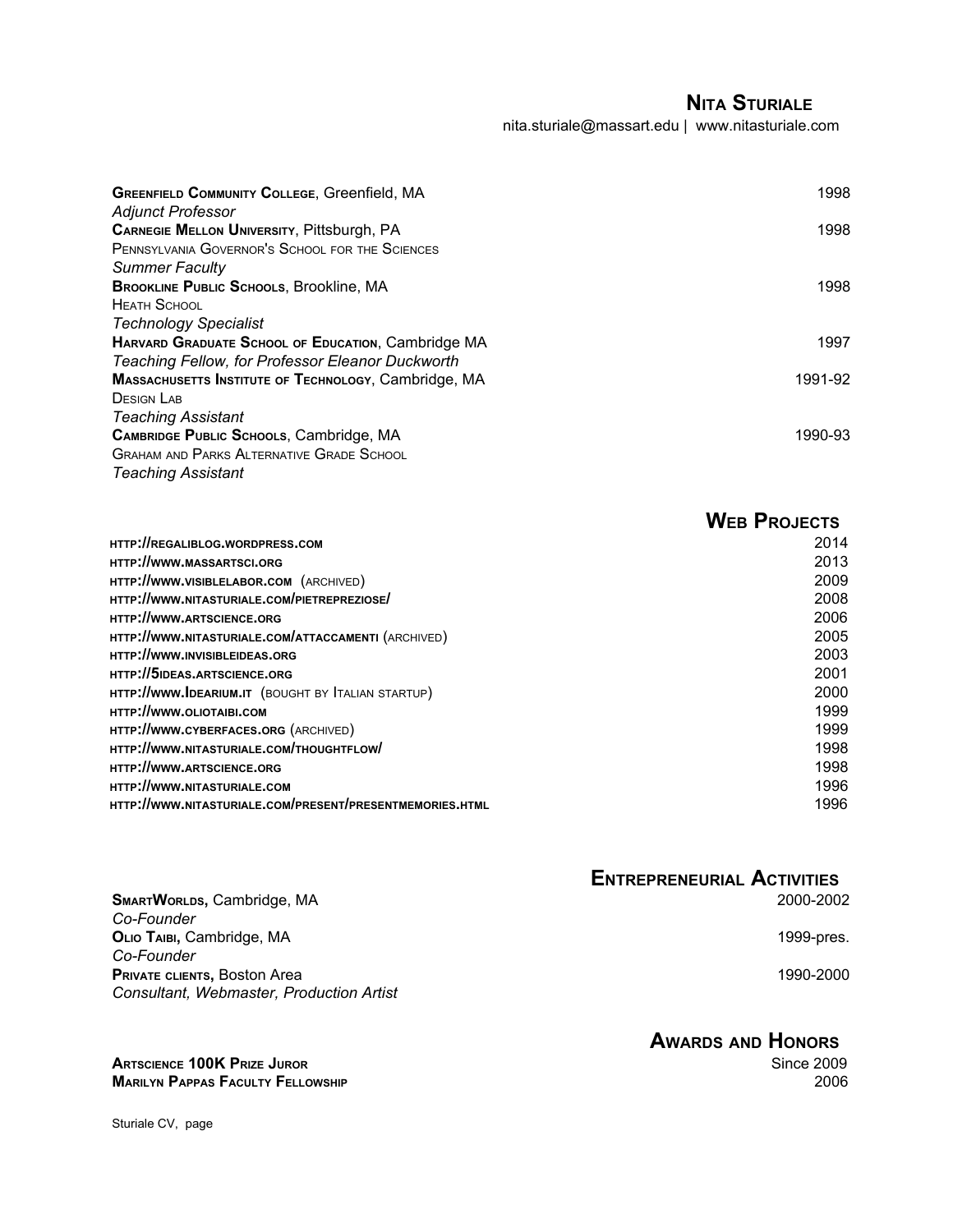nita.sturiale@massart.edu | www.nitasturiale.com

| <b>GREENFIELD COMMUNITY COLLEGE, Greenfield, MA</b>  | 1998    |
|------------------------------------------------------|---------|
| <b>Adjunct Professor</b>                             |         |
| <b>CARNEGIE MELLON UNIVERSITY, Pittsburgh, PA</b>    | 1998    |
| PENNSYLVANIA GOVERNOR'S SCHOOL FOR THE SCIENCES      |         |
| <b>Summer Faculty</b>                                |         |
| <b>BROOKLINE PUBLIC SCHOOLS, Brookline, MA</b>       | 1998    |
| <b>HEATH SCHOOL</b>                                  |         |
| <b>Technology Specialist</b>                         |         |
| HARVARD GRADUATE SCHOOL OF EDUCATION, Cambridge MA   | 1997    |
| Teaching Fellow, for Professor Eleanor Duckworth     |         |
| MASSACHUSETTS INSTITUTE OF TECHNOLOGY, Cambridge, MA | 1991-92 |
| <b>DESIGN LAB</b>                                    |         |
| <b>Teaching Assistant</b>                            |         |
| CAMBRIDGE PUBLIC SCHOOLS, Cambridge, MA              | 1990-93 |
| <b>GRAHAM AND PARKS ALTERNATIVE GRADE SCHOOL</b>     |         |
| <b>Teaching Assistant</b>                            |         |

|                                                           | <b>WEB PROJECTS</b> |
|-----------------------------------------------------------|---------------------|
| HTTP://REGALIBLOG.WORDPRESS.COM                           | 2014                |
| HTTP://www.massartsci.org                                 | 2013                |
| HTTP://WWW.VISIBLELABOR.COM (ARCHIVED)                    | 2009                |
| HTTP://www.NITASTURIALE.COM/PIETREPREZIOSE/               | 2008                |
| HTTP://WWW.ARTSCIENCE.ORG                                 | 2006                |
| HTTP://WWW.NITASTURIALE.COM/ATTACCAMENTI (ARCHIVED)       | 2005                |
| HTTP://www.invisibleideas.org                             | 2003                |
| <b>HTTP://5IDEAS.ARTSCIENCE.ORG</b>                       | 2001                |
| <b>HTTP://WWW.IDEARIUM.IT</b> (BOUGHT BY ITALIAN STARTUP) | 2000                |
| HTTP://www.OLIOTAIBI.COM                                  | 1999                |
| HTTP://WWW.CYBERFACES.ORG (ARCHIVED)                      | 1999                |
| HTTP://www.NITASTURIALE.COM/THOUGHTFLOW/                  | 1998                |
| HTTP://WWW.ARTSCIENCE.ORG                                 | 1998                |
| HTTP://WWW.NITASTURIALE.COM                               | 1996                |
| HTTP://WWW.NITASTURIALE.COM/PRESENT/PRESENTMEMORIES.HTML  | 1996                |

|                                          | <b>ENTREPRENEURIAL ACTIVITIES</b> |
|------------------------------------------|-----------------------------------|
| <b>SMARTWORLDS, Cambridge, MA</b>        | 2000-2002                         |
| Co-Founder                               |                                   |
| OLIO TAIBI, Cambridge, MA                | 1999-pres.                        |
| Co-Founder                               |                                   |
| <b>PRIVATE CLIENTS, BOSTON Area</b>      | 1990-2000                         |
| Consultant, Webmaster, Production Artist |                                   |

# **AWARDS AND HONORS**

**ARTSCIENCE 100K PRIZE JUROR MARILYN PAPPAS FACULTY FELLOWSHIP** 2006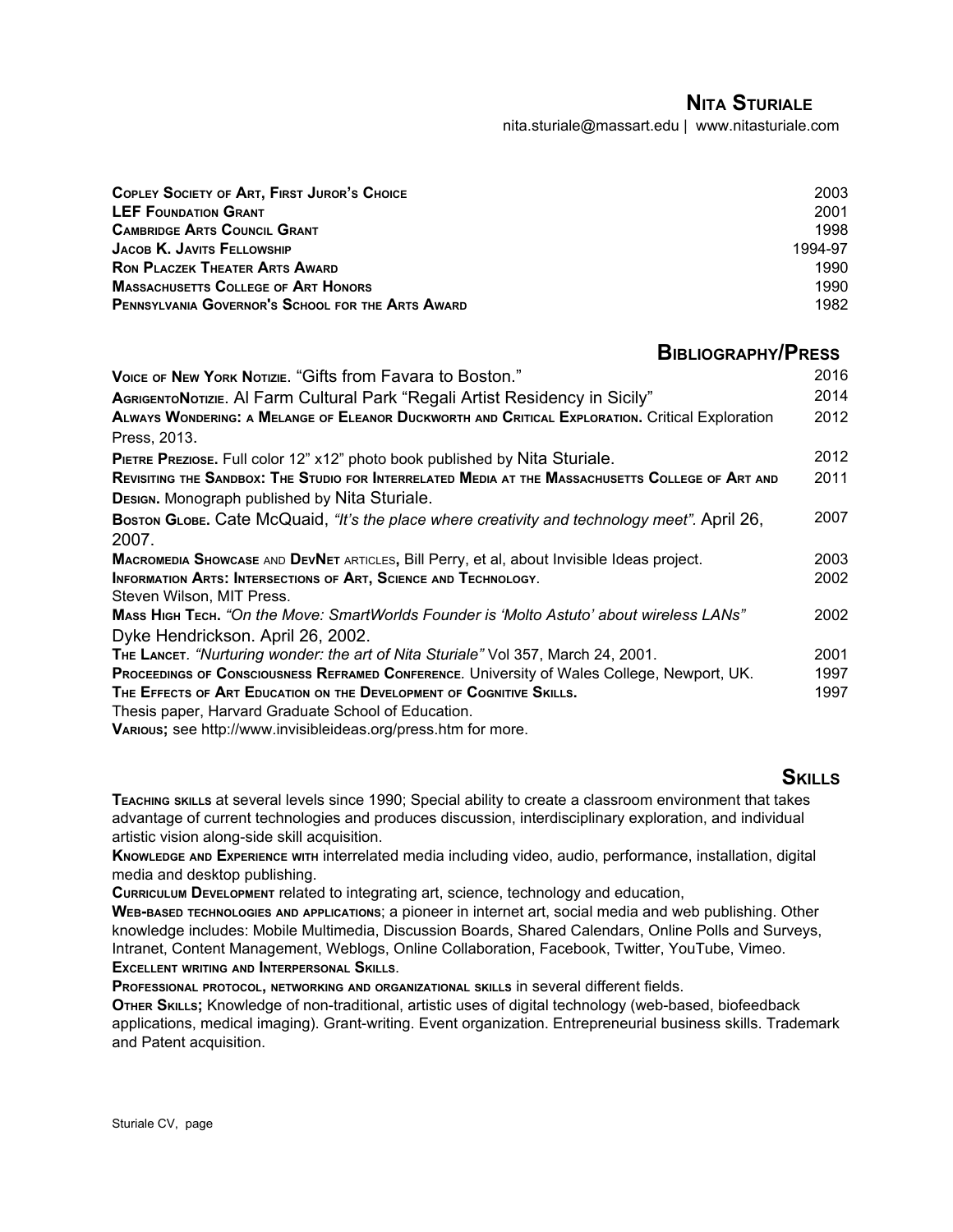nita.sturiale@massart.edu | www.nitasturiale.com

| COPLEY SOCIETY OF ART, FIRST JUROR'S CHOICE       | 2003    |
|---------------------------------------------------|---------|
| <b>LEF FOUNDATION GRANT</b>                       | 2001    |
| <b>CAMBRIDGE ARTS COUNCIL GRANT</b>               | 1998    |
| JACOB K. JAVITS FELLOWSHIP                        | 1994-97 |
| <b>RON PLACZEK THEATER ARTS AWARD</b>             | 1990    |
| <b>MASSACHUSETTS COLLEGE OF ART HONORS</b>        | 1990    |
| PENNSYLVANIA GOVERNOR'S SCHOOL FOR THE ARTS AWARD | 1982    |

#### **BIBLIOGRAPHY/PRESS**

| VOICE OF NEW YORK NOTIZIE. "Gifts from Favara to Boston."                                                      | 2016 |
|----------------------------------------------------------------------------------------------------------------|------|
| AGRIGENTONOTIZIE. AI Farm Cultural Park "Regali Artist Residency in Sicily"                                    | 2014 |
| ALWAYS WONDERING: A MELANGE OF ELEANOR DUCKWORTH AND CRITICAL EXPLORATION. Critical Exploration                | 2012 |
| Press, 2013.                                                                                                   |      |
| PIETRE PREZIOSE. Full color 12" x12" photo book published by Nita Sturiale.                                    | 2012 |
| REVISITING THE SANDBOX: THE STUDIO FOR INTERRELATED MEDIA AT THE MASSACHUSETTS COLLEGE OF ART AND              | 2011 |
| Design. Monograph published by Nita Sturiale.                                                                  |      |
| Boston GLOBE. Cate McQuaid, "It's the place where creativity and technology meet". April 26,                   | 2007 |
| 2007.                                                                                                          |      |
| MACROMEDIA SHOWCASE AND DEVNET ARTICLES, Bill Perry, et al, about Invisible Ideas project.                     | 2003 |
| INFORMATION ARTS: INTERSECTIONS OF ART, SCIENCE AND TECHNOLOGY.                                                | 2002 |
| Steven Wilson, MIT Press.                                                                                      |      |
| <b>Mass High Tech.</b> "On the Move: SmartWorlds Founder is 'Molto Astuto' about wireless LANs"                | 2002 |
| Dyke Hendrickson. April 26, 2002.                                                                              |      |
| THE LANCET. "Nurturing wonder: the art of Nita Sturiale" Vol 357, March 24, 2001.                              | 2001 |
| PROCEEDINGS OF CONSCIOUSNESS REFRAMED CONFERENCE. University of Wales College, Newport, UK.                    | 1997 |
| THE EFFECTS OF ART EDUCATION ON THE DEVELOPMENT OF COGNITIVE SKILLS.                                           | 1997 |
| Thesis paper, Harvard Graduate School of Education.                                                            |      |
| in a compart of the compart of the state of the state of the state of the state of the state of the state of t |      |

**VARIOUS;** see http://www.invisibleideas.org/press.htm for more.

#### **SKILLS**

**TEACHING SKILLS** at several levels since 1990; Special ability to create a classroom environment that takes advantage of current technologies and produces discussion, interdisciplinary exploration, and individual artistic vision along-side skill acquisition.

**KNOWLEDGE AND EXPERIENCE WITH** interrelated media including video, audio, performance, installation, digital media and desktop publishing.

**CURRICULUM DEVELOPMENT** related to integrating art, science, technology and education,

**WEB-BASED TECHNOLOGIES AND APPLICATIONS**; a pioneer in internet art, social media and web publishing. Other knowledge includes: Mobile Multimedia, Discussion Boards, Shared Calendars, Online Polls and Surveys, Intranet, Content Management, Weblogs, Online Collaboration, Facebook, Twitter, YouTube, Vimeo. **EXCELLENT WRITING AND INTERPERSONAL SKILLS**.

**PROFESSIONAL PROTOCOL, NETWORKING AND ORGANIZATIONAL SKILLS** in several different fields.

**OTHER SKILLS;** Knowledge of non-traditional, artistic uses of digital technology (web-based, biofeedback applications, medical imaging). Grant-writing. Event organization. Entrepreneurial business skills. Trademark and Patent acquisition.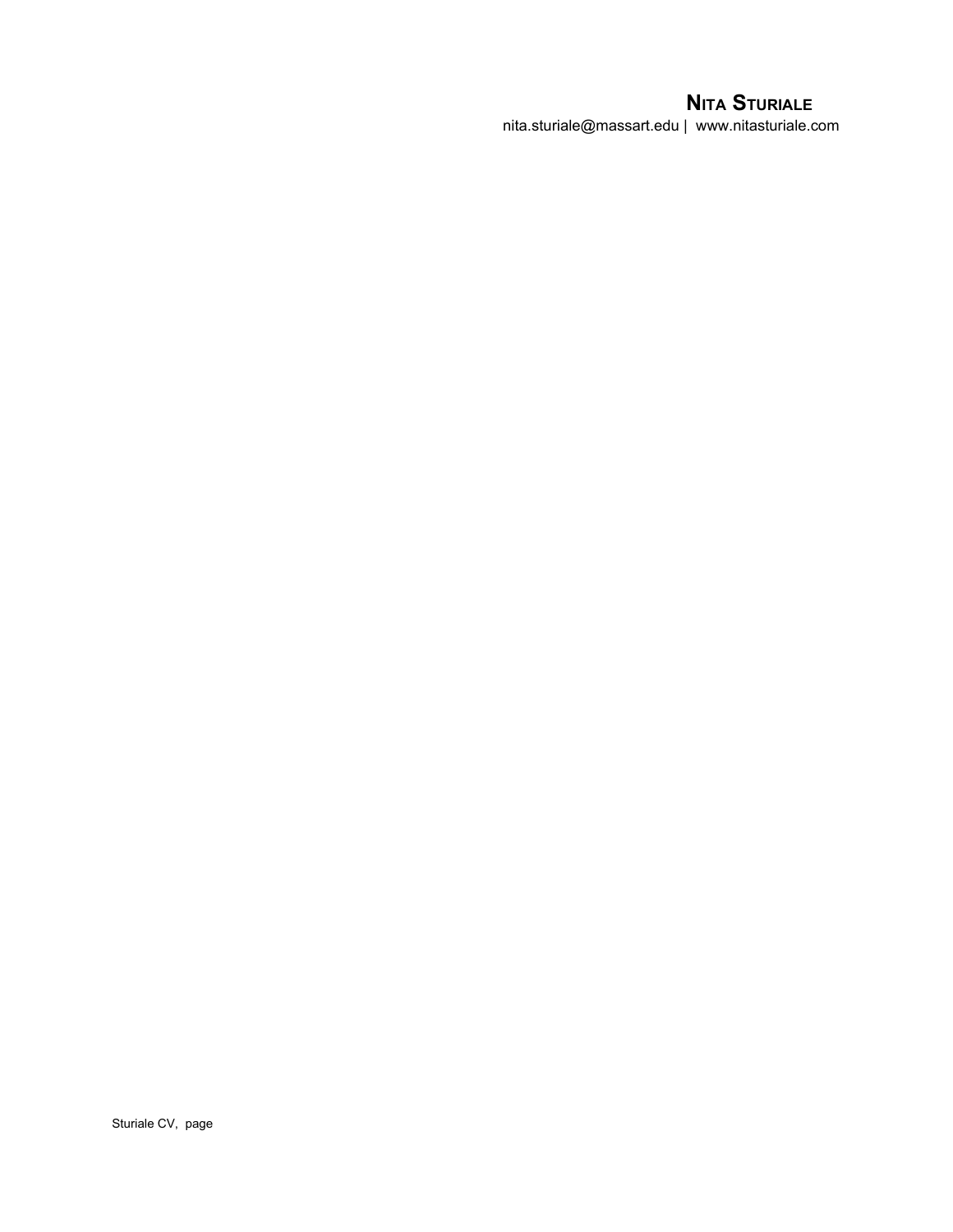nita.sturiale@massart.edu | www.nitasturiale.com